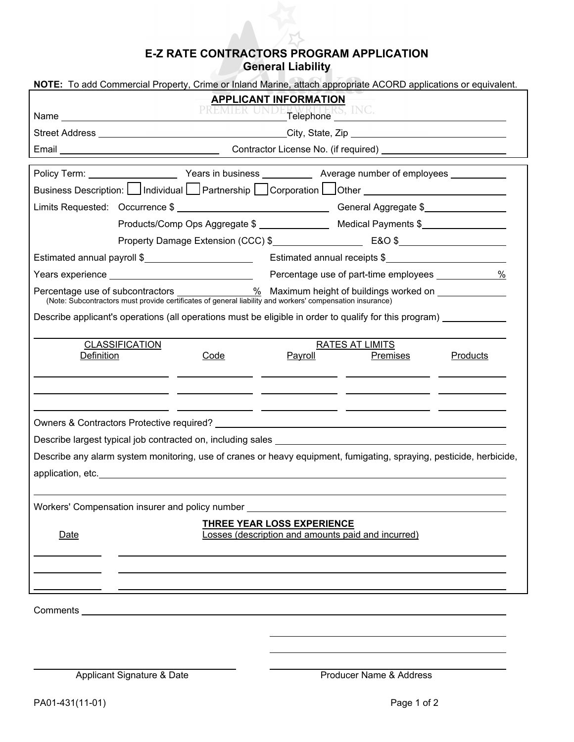## **E-Z RATE CONTRACTORS PROGRAM APPLICATION General Liability**

| NOTE: To add Commercial Property, Crime or Inland Marine, attach appropriate ACORD applications or equivalent.                                                                                                                                                                                                                                                                                    |                                                                      |                                                                                                                                                     |          |  |
|---------------------------------------------------------------------------------------------------------------------------------------------------------------------------------------------------------------------------------------------------------------------------------------------------------------------------------------------------------------------------------------------------|----------------------------------------------------------------------|-----------------------------------------------------------------------------------------------------------------------------------------------------|----------|--|
| <b>APPLICANT INFORMATION</b>                                                                                                                                                                                                                                                                                                                                                                      |                                                                      |                                                                                                                                                     |          |  |
| PREMIER UNDERWRITERS, INC.                                                                                                                                                                                                                                                                                                                                                                        |                                                                      |                                                                                                                                                     |          |  |
|                                                                                                                                                                                                                                                                                                                                                                                                   |                                                                      |                                                                                                                                                     |          |  |
|                                                                                                                                                                                                                                                                                                                                                                                                   |                                                                      |                                                                                                                                                     |          |  |
|                                                                                                                                                                                                                                                                                                                                                                                                   |                                                                      |                                                                                                                                                     |          |  |
| Business Description: Individual Partnership Corporation Other Communication Description:                                                                                                                                                                                                                                                                                                         |                                                                      |                                                                                                                                                     |          |  |
|                                                                                                                                                                                                                                                                                                                                                                                                   |                                                                      |                                                                                                                                                     |          |  |
|                                                                                                                                                                                                                                                                                                                                                                                                   | Products/Comp Ops Aggregate \$ _________________ Medical Payments \$ |                                                                                                                                                     |          |  |
| Property Damage Extension (CCC) \$                                                                                                                                                                                                                                                                                                                                                                |                                                                      |                                                                                                                                                     |          |  |
| Estimated annual payroll \$                                                                                                                                                                                                                                                                                                                                                                       |                                                                      | Estimated annual receipts \$                                                                                                                        |          |  |
|                                                                                                                                                                                                                                                                                                                                                                                                   | Percentage use of part-time employees _____________ %                |                                                                                                                                                     |          |  |
| Percentage use of subcontractors 96 maximum height of buildings worked on example is the contractors must provide certificates of general liability and workers' compensation insurance)                                                                                                                                                                                                          |                                                                      |                                                                                                                                                     |          |  |
| Describe applicant's operations (all operations must be eligible in order to qualify for this program)                                                                                                                                                                                                                                                                                            |                                                                      |                                                                                                                                                     |          |  |
| <b>CLASSIFICATION</b><br>Definition<br>Code                                                                                                                                                                                                                                                                                                                                                       | Payroll                                                              | RATES AT LIMITS<br>Premises<br><u> 1990 - Jan James James Barnett, president eta industrial eta industrial eta industrial eta industrial eta in</u> | Products |  |
| <u> 1999 - Jan James James (j. 1908)</u><br>Describe any alarm system monitoring, use of cranes or heavy equipment, fumigating, spraying, pesticide, herbicide,<br>application, etc. The contract of the contract of the contract of the contract of the contract of the contract of the contract of the contract of the contract of the contract of the contract of the contract of the contract |                                                                      |                                                                                                                                                     |          |  |
| Workers' Compensation insurer and policy number ________________________________                                                                                                                                                                                                                                                                                                                  |                                                                      |                                                                                                                                                     |          |  |
| Date                                                                                                                                                                                                                                                                                                                                                                                              | THREE YEAR LOSS EXPERIENCE                                           | Losses (description and amounts paid and incurred)                                                                                                  |          |  |
| Comments <u>example and the comments</u> of the comments of the comments of the comments of the comments of the comments of the comments of the comments of the comments of the comments of the comments of the comments of the com                                                                                                                                                               |                                                                      |                                                                                                                                                     |          |  |
|                                                                                                                                                                                                                                                                                                                                                                                                   |                                                                      |                                                                                                                                                     |          |  |
| Applicant Signature & Date                                                                                                                                                                                                                                                                                                                                                                        |                                                                      | Producer Name & Address                                                                                                                             |          |  |
| PA01-431(11-01)                                                                                                                                                                                                                                                                                                                                                                                   |                                                                      | Page 1 of 2                                                                                                                                         |          |  |